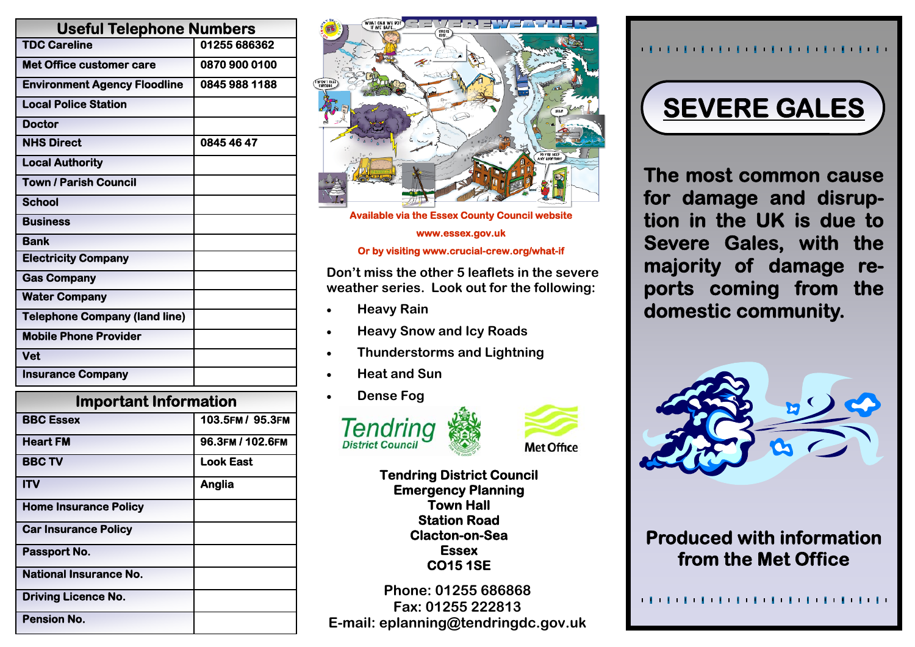| <b>Useful Telephone Numbers</b>      |               |
|--------------------------------------|---------------|
| <b>TDC Careline</b>                  | 01255 686362  |
| <b>Met Office customer care</b>      | 0870 900 0100 |
| <b>Environment Agency Floodline</b>  | 0845 988 1188 |
| <b>Local Police Station</b>          |               |
| <b>Doctor</b>                        |               |
| <b>NHS Direct</b>                    | 0845 46 47    |
| <b>Local Authority</b>               |               |
| <b>Town / Parish Council</b>         |               |
| <b>School</b>                        |               |
| <b>Business</b>                      |               |
| <b>Bank</b>                          |               |
| <b>Electricity Company</b>           |               |
| <b>Gas Company</b>                   |               |
| <b>Water Company</b>                 |               |
| <b>Telephone Company (land line)</b> |               |
| <b>Mobile Phone Provider</b>         |               |
| Vet                                  |               |
| <b>Insurance Company</b>             |               |
|                                      |               |

| <b>Important Information</b>  |                  |
|-------------------------------|------------------|
| <b>BBC Essex</b>              | 103.5FM / 95.3FM |
| <b>Heart FM</b>               | 96.3FM / 102.6FM |
| <b>BBC TV</b>                 | <b>Look East</b> |
| ITV                           | Anglia           |
| <b>Home Insurance Policy</b>  |                  |
| <b>Car Insurance Policy</b>   |                  |
| Passport No.                  |                  |
| <b>National Insurance No.</b> |                  |
| <b>Driving Licence No.</b>    |                  |
| <b>Pension No.</b>            |                  |



**Available via the Essex County Council website** 

**www.essex.gov.uk** 

#### **Or by visiting www.crucial-crew.org/what-if**

**Don't miss the other 5 leaflets in the severe weather series. Look out for the following:** 

- **Heavy Rain**
- **Heavy Snow and Icy Roads**
- **Thunderstorms and Lightning**
- **Heat and Sun**
- **Dense Fog**





**Tendring District Council Emergency Planning Town Hall Station Road Clacton-on-Sea Essex CO15 1SE** 

**Phone: 01255 686868 Fax: 01255 222813 E-mail: eplanning@tendringdc.gov.uk** 

#### 



**The most common cause for damage and disruption in the UK is due to Severe Gales, with the majority of damage reports coming from the domestic community.** 



# **Produced with information from the Met Office**